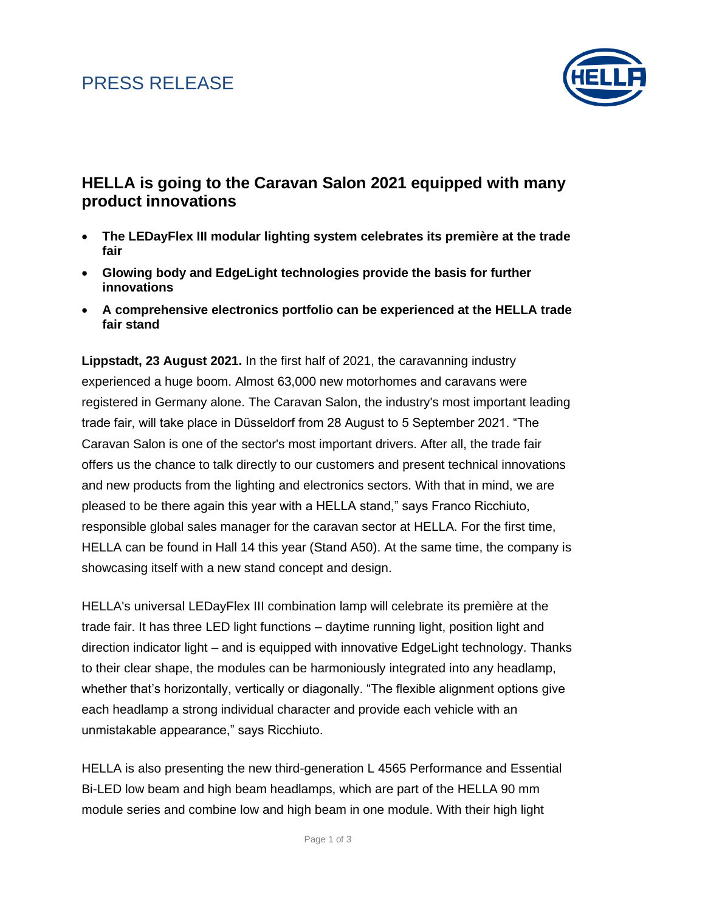### PRESS RELEASE



### **HELLA is going to the Caravan Salon 2021 equipped with many product innovations**

- **The LEDayFlex III modular lighting system celebrates its première at the trade fair**
- **Glowing body and EdgeLight technologies provide the basis for further innovations**
- **A comprehensive electronics portfolio can be experienced at the HELLA trade fair stand**

**Lippstadt, 23 August 2021.** In the first half of 2021, the caravanning industry experienced a huge boom. Almost 63,000 new motorhomes and caravans were registered in Germany alone. The Caravan Salon, the industry's most important leading trade fair, will take place in Düsseldorf from 28 August to 5 September 2021. "The Caravan Salon is one of the sector's most important drivers. After all, the trade fair offers us the chance to talk directly to our customers and present technical innovations and new products from the lighting and electronics sectors. With that in mind, we are pleased to be there again this year with a HELLA stand," says Franco Ricchiuto, responsible global sales manager for the caravan sector at HELLA. For the first time, HELLA can be found in Hall 14 this year (Stand A50). At the same time, the company is showcasing itself with a new stand concept and design.

HELLA's universal LEDayFlex III combination lamp will celebrate its première at the trade fair. It has three LED light functions – daytime running light, position light and direction indicator light – and is equipped with innovative EdgeLight technology. Thanks to their clear shape, the modules can be harmoniously integrated into any headlamp, whether that's horizontally, vertically or diagonally. "The flexible alignment options give each headlamp a strong individual character and provide each vehicle with an unmistakable appearance," says Ricchiuto.

HELLA is also presenting the new third-generation L 4565 Performance and Essential Bi-LED low beam and high beam headlamps, which are part of the HELLA 90 mm module series and combine low and high beam in one module. With their high light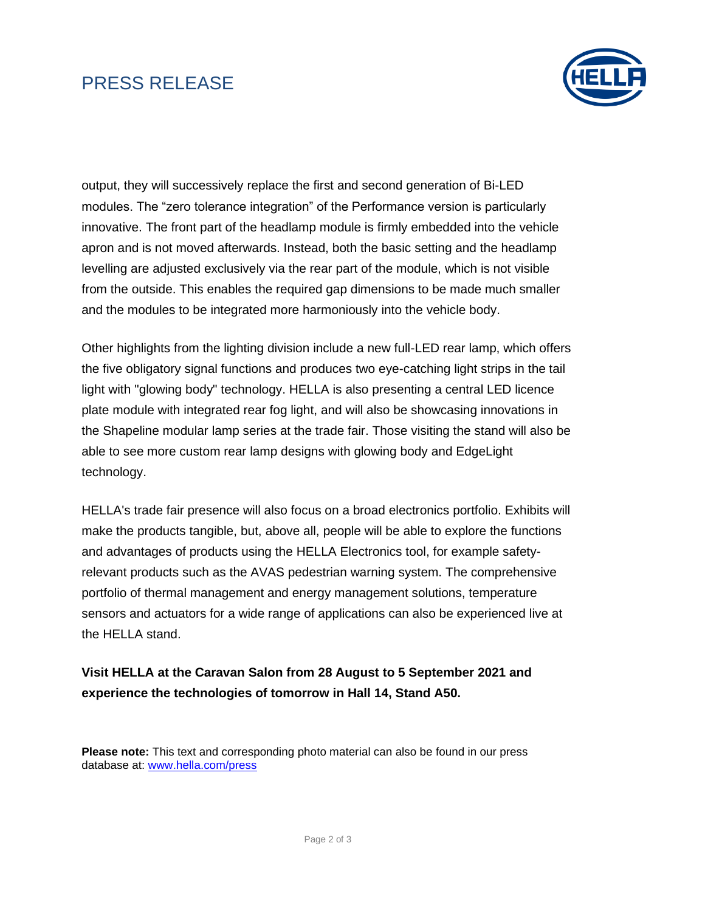# PRESS RELEASE



output, they will successively replace the first and second generation of Bi-LED modules. The "zero tolerance integration" of the Performance version is particularly innovative. The front part of the headlamp module is firmly embedded into the vehicle apron and is not moved afterwards. Instead, both the basic setting and the headlamp levelling are adjusted exclusively via the rear part of the module, which is not visible from the outside. This enables the required gap dimensions to be made much smaller and the modules to be integrated more harmoniously into the vehicle body.

Other highlights from the lighting division include a new full-LED rear lamp, which offers the five obligatory signal functions and produces two eye-catching light strips in the tail light with "glowing body" technology. HELLA is also presenting a central LED licence plate module with integrated rear fog light, and will also be showcasing innovations in the Shapeline modular lamp series at the trade fair. Those visiting the stand will also be able to see more custom rear lamp designs with glowing body and EdgeLight technology.

HELLA's trade fair presence will also focus on a broad electronics portfolio. Exhibits will make the products tangible, but, above all, people will be able to explore the functions and advantages of products using the HELLA Electronics tool, for example safetyrelevant products such as the AVAS pedestrian warning system. The comprehensive portfolio of thermal management and energy management solutions, temperature sensors and actuators for a wide range of applications can also be experienced live at the HELLA stand.

### **Visit HELLA at the Caravan Salon from 28 August to 5 September 2021 and experience the technologies of tomorrow in Hall 14, Stand A50.**

**Please note:** This text and corresponding photo material can also be found in our press database at: [www.hella.com/press](file:///C:/Users/brylsa1/AppData/Local/Microsoft/Windows/INetCache/Content.Outlook/EONYVW06/www.hella.com/press)